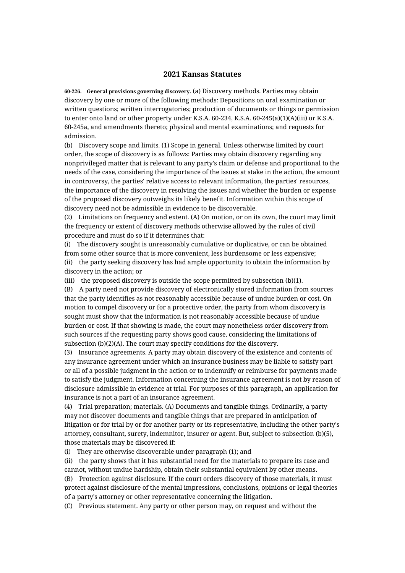## **2021 Kansas Statutes**

**60-226. General provisions governing discovery.** (a) Discovery methods. Parties may obtain discovery by one or more of the following methods: Depositions on oral examination or written questions; written interrogatories; production of documents or things or permission to enter onto land or other property under K.S.A. 60-234, K.S.A. 60-245(a)(1)(A)(iii) or K.S.A. 60-245a, and amendments thereto; physical and mental examinations; and requests for admission.

(b) Discovery scope and limits. (1) Scope in general. Unless otherwise limited by court order, the scope of discovery is as follows: Parties may obtain discovery regarding any nonprivileged matter that is relevant to any party's claim or defense and proportional to the needs of the case, considering the importance of the issues at stake in the action, the amount in controversy, the parties' relative access to relevant information, the parties' resources, the importance of the discovery in resolving the issues and whether the burden or expense of the proposed discovery outweighs its likely benefit. Information within this scope of discovery need not be admissible in evidence to be discoverable.

(2) Limitations on frequency and extent. (A) On motion, or on its own, the court may limit the frequency or extent of discovery methods otherwise allowed by the rules of civil procedure and must do so if it determines that:

(i) The discovery sought is unreasonably cumulative or duplicative, or can be obtained from some other source that is more convenient, less burdensome or less expensive; (ii) the party seeking discovery has had ample opportunity to obtain the information by discovery in the action; or

(iii) the proposed discovery is outside the scope permitted by subsection (b)(1).

(B) A party need not provide discovery of electronically stored information from sources that the party identifies as not reasonably accessible because of undue burden or cost. On motion to compel discovery or for a protective order, the party from whom discovery is sought must show that the information is not reasonably accessible because of undue burden or cost. If that showing is made, the court may nonetheless order discovery from such sources if the requesting party shows good cause, considering the limitations of subsection (b)(2)(A). The court may specify conditions for the discovery.

(3) Insurance agreements. A party may obtain discovery of the existence and contents of any insurance agreement under which an insurance business may be liable to satisfy part or all of a possible judgment in the action or to indemnify or reimburse for payments made to satisfy the judgment. Information concerning the insurance agreement is not by reason of disclosure admissible in evidence at trial. For purposes of this paragraph, an application for insurance is not a part of an insurance agreement.

(4) Trial preparation; materials. (A) Documents and tangible things. Ordinarily, a party may not discover documents and tangible things that are prepared in anticipation of litigation or for trial by or for another party or its representative, including the other party's attorney, consultant, surety, indemnitor, insurer or agent. But, subject to subsection (b)(5), those materials may be discovered if:

(i) They are otherwise discoverable under paragraph (1); and

(ii) the party shows that it has substantial need for the materials to prepare its case and cannot, without undue hardship, obtain their substantial equivalent by other means.

(B) Protection against disclosure. If the court orders discovery of those materials, it must protect against disclosure of the mental impressions, conclusions, opinions or legal theories of a party's attorney or other representative concerning the litigation.

(C) Previous statement. Any party or other person may, on request and without the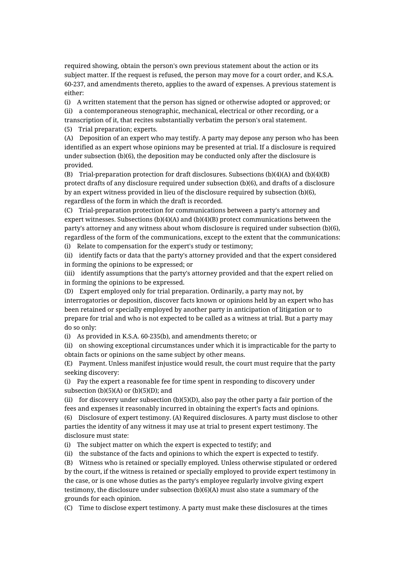required showing, obtain the person's own previous statement about the action or its subject matter. If the request is refused, the person may move for a court order, and K.S.A. 60-237, and amendments thereto, applies to the award of expenses. A previous statement is either:

(i) A written statement that the person has signed or otherwise adopted or approved; or (ii) a contemporaneous stenographic, mechanical, electrical or other recording, or a transcription of it, that recites substantially verbatim the person's oral statement. (5) Trial preparation; experts.

(A) Deposition of an expert who may testify. A party may depose any person who has been identified as an expert whose opinions may be presented at trial. If a disclosure is required under subsection (b)(6), the deposition may be conducted only after the disclosure is provided.

(B) Trial-preparation protection for draft disclosures. Subsections (b)(4)(A) and (b)(4)(B) protect drafts of any disclosure required under subsection (b)(6), and drafts of a disclosure by an expert witness provided in lieu of the disclosure required by subsection (b)(6), regardless of the form in which the draft is recorded.

(C) Trial-preparation protection for communications between a party's attorney and expert witnesses. Subsections (b)(4)(A) and (b)(4)(B) protect communications between the party's attorney and any witness about whom disclosure is required under subsection (b)(6), regardless of the form of the communications, except to the extent that the communications: (i) Relate to compensation for the expert's study or testimony;

(ii) identify facts or data that the party's attorney provided and that the expert considered in forming the opinions to be expressed; or

(iii) identify assumptions that the party's attorney provided and that the expert relied on in forming the opinions to be expressed.

(D) Expert employed only for trial preparation. Ordinarily, a party may not, by interrogatories or deposition, discover facts known or opinions held by an expert who has been retained or specially employed by another party in anticipation of litigation or to prepare for trial and who is not expected to be called as a witness at trial. But a party may do so only:

(i) As provided in K.S.A. 60-235(b), and amendments thereto; or

(ii) on showing exceptional circumstances under which it is impracticable for the party to obtain facts or opinions on the same subject by other means.

(E) Payment. Unless manifest injustice would result, the court must require that the party seeking discovery:

(i) Pay the expert a reasonable fee for time spent in responding to discovery under subsection  $(b)(5)(A)$  or  $(b)(5)(D)$ ; and

(ii) for discovery under subsection (b)(5)(D), also pay the other party a fair portion of the fees and expenses it reasonably incurred in obtaining the expert's facts and opinions.

(6) Disclosure of expert testimony. (A) Required disclosures. A party must disclose to other parties the identity of any witness it may use at trial to present expert testimony. The disclosure must state:

(i) The subject matter on which the expert is expected to testify; and

(ii) the substance of the facts and opinions to which the expert is expected to testify.

(B) Witness who is retained or specially employed. Unless otherwise stipulated or ordered by the court, if the witness is retained or specially employed to provide expert testimony in the case, or is one whose duties as the party's employee regularly involve giving expert testimony, the disclosure under subsection (b)(6)(A) must also state a summary of the grounds for each opinion.

(C) Time to disclose expert testimony. A party must make these disclosures at the times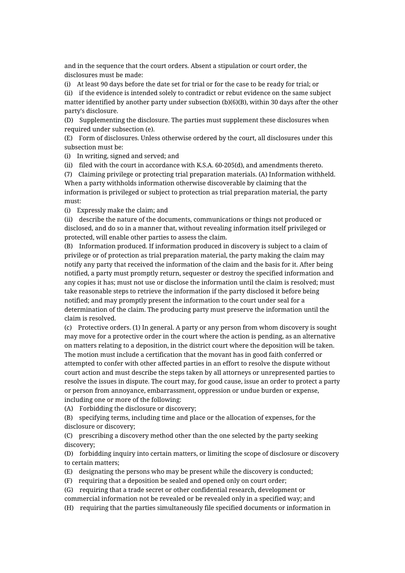and in the sequence that the court orders. Absent a stipulation or court order, the disclosures must be made:

(i) At least 90 days before the date set for trial or for the case to be ready for trial; or (ii) if the evidence is intended solely to contradict or rebut evidence on the same subject matter identified by another party under subsection (b)(6)(B), within 30 days after the other party's disclosure.

(D) Supplementing the disclosure. The parties must supplement these disclosures when required under subsection (e).

(E) Form of disclosures. Unless otherwise ordered by the court, all disclosures under this subsection must be:

(i) In writing, signed and served; and

(ii) filed with the court in accordance with K.S.A. 60-205(d), and amendments thereto.

(7) Claiming privilege or protecting trial preparation materials. (A) Information withheld. When a party withholds information otherwise discoverable by claiming that the information is privileged or subject to protection as trial preparation material, the party must:

(i) Expressly make the claim; and

(ii) describe the nature of the documents, communications or things not produced or disclosed, and do so in a manner that, without revealing information itself privileged or protected, will enable other parties to assess the claim.

(B) Information produced. If information produced in discovery is subject to a claim of privilege or of protection as trial preparation material, the party making the claim may notify any party that received the information of the claim and the basis for it. After being notified, a party must promptly return, sequester or destroy the specified information and any copies it has; must not use or disclose the information until the claim is resolved; must take reasonable steps to retrieve the information if the party disclosed it before being notified; and may promptly present the information to the court under seal for a determination of the claim. The producing party must preserve the information until the claim is resolved.

(c) Protective orders. (1) In general. A party or any person from whom discovery is sought may move for a protective order in the court where the action is pending, as an alternative on matters relating to a deposition, in the district court where the deposition will be taken. The motion must include a certification that the movant has in good faith conferred or attempted to confer with other affected parties in an effort to resolve the dispute without court action and must describe the steps taken by all attorneys or unrepresented parties to resolve the issues in dispute. The court may, for good cause, issue an order to protect a party or person from annoyance, embarrassment, oppression or undue burden or expense, including one or more of the following:

(A) Forbidding the disclosure or discovery;

(B) specifying terms, including time and place or the allocation of expenses, for the disclosure or discovery;

(C) prescribing a discovery method other than the one selected by the party seeking discovery;

(D) forbidding inquiry into certain matters, or limiting the scope of disclosure or discovery to certain matters;

(E) designating the persons who may be present while the discovery is conducted;

(F) requiring that a deposition be sealed and opened only on court order;

(G) requiring that a trade secret or other confidential research, development or

commercial information not be revealed or be revealed only in a specified way; and

(H) requiring that the parties simultaneously file specified documents or information in